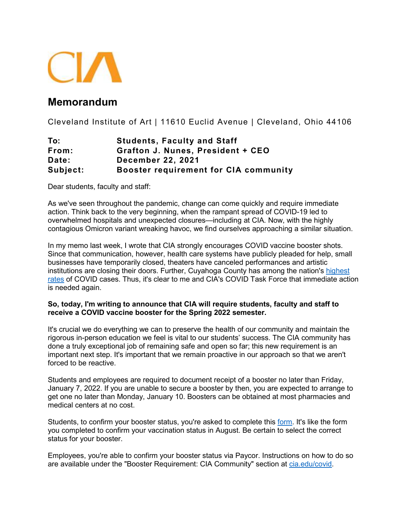

## **Memorandum**

Cleveland Institute of Art | 11610 Euclid Avenue | Cleveland, Ohio 44106

| To:      | <b>Students, Faculty and Staff</b>           |
|----------|----------------------------------------------|
| From:    | Grafton J. Nunes, President + CEO            |
| Date:    | <b>December 22, 2021</b>                     |
| Subject: | <b>Booster requirement for CIA community</b> |

Dear students, faculty and staff:

As we've seen throughout the pandemic, change can come quickly and require immediate action. Think back to the very beginning, when the rampant spread of COVID-19 led to overwhelmed hospitals and unexpected closures—including at CIA. Now, with the highly contagious Omicron variant wreaking havoc, we find ourselves approaching a similar situation.

In my memo last week, I wrote that CIA strongly encourages COVID vaccine booster shots. Since that communication, however, health care systems have publicly pleaded for help, small businesses have temporarily closed, theaters have canceled performances and artistic institutions are closing their doors. Further, Cuyahoga County has among the nation's [highest](https://www.cleveland.com/coronavirus/2021/12/cuyahoga-county-ranks-third-among-us-counties-for-most-covid-19-cases-per-100000-population.html)  [rates](https://www.cleveland.com/coronavirus/2021/12/cuyahoga-county-ranks-third-among-us-counties-for-most-covid-19-cases-per-100000-population.html) of COVID cases. Thus, it's clear to me and CIA's COVID Task Force that immediate action is needed again.

## **So, today, I'm writing to announce that CIA will require students, faculty and staff to receive a COVID vaccine booster for the Spring 2022 semester.**

It's crucial we do everything we can to preserve the health of our community and maintain the rigorous in-person education we feel is vital to our students' success. The CIA community has done a truly exceptional job of remaining safe and open so far; this new requirement is an important next step. It's important that we remain proactive in our approach so that we aren't forced to be reactive.

Students and employees are required to document receipt of a booster no later than Friday, January 7, 2022. If you are unable to secure a booster by then, you are expected to arrange to get one no later than Monday, January 10. Boosters can be obtained at most pharmacies and medical centers at no cost.

Students, to confirm your booster status, you're asked to complete this [form.](https://hipaa.jotform.com/213543868346161) It's like the form you completed to confirm your vaccination status in August. Be certain to select the correct status for your booster.

Employees, you're able to confirm your booster status via Paycor. Instructions on how to do so are available under the "Booster Requirement: CIA Community" section at [cia.edu/covid.](https://www.cia.edu/about-us/safety-security/smart-return-to-school)